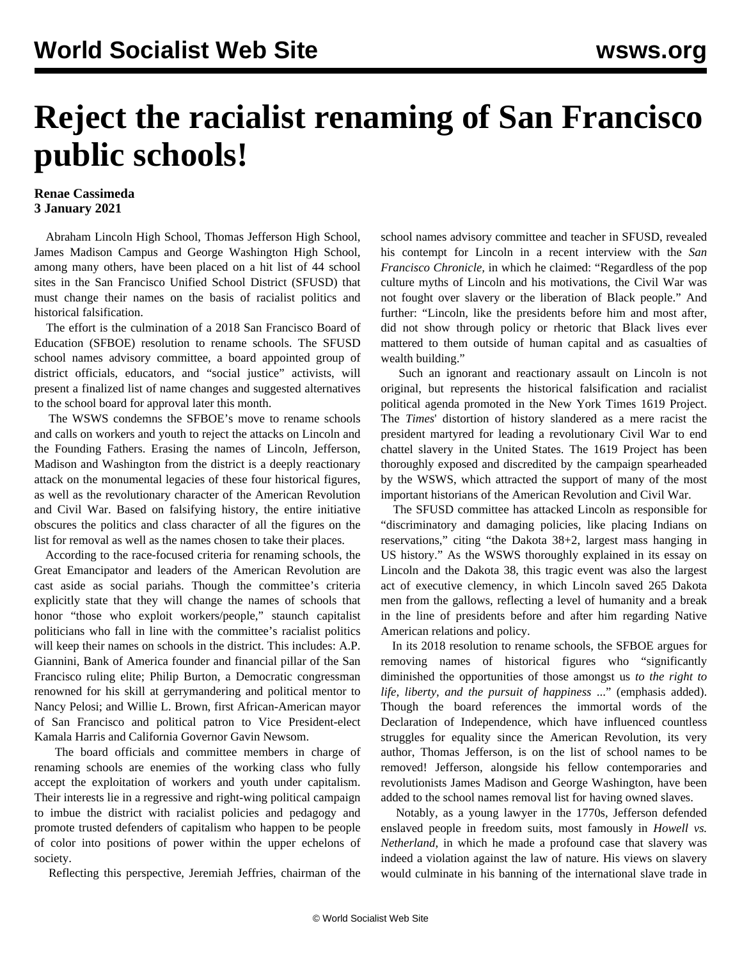## **Reject the racialist renaming of San Francisco public schools!**

## **Renae Cassimeda 3 January 2021**

 Abraham Lincoln High School, Thomas Jefferson High School, James Madison Campus and George Washington High School, among many others, have been placed on a hit list of [44 school](https://docs.google.com/document/d/12mIdaWPboYgYEhVn_VgiCu6MACYSHuIJW783YpkkxEk/mobilebasic) [sites](https://docs.google.com/document/d/12mIdaWPboYgYEhVn_VgiCu6MACYSHuIJW783YpkkxEk/mobilebasic) in the San Francisco Unified School District (SFUSD) that must change their names on the basis of racialist politics and historical falsification.

 The effort is the culmination of a 2018 San Francisco Board of Education (SFBOE) resolution to rename schools. The SFUSD school names advisory committee, a board appointed group of district officials, educators, and "social justice" activists, will present a finalized list of name changes and suggested alternatives to the school board for approval later this month.

 The WSWS condemns the SFBOE's move to rename schools and calls on workers and youth to reject the attacks on Lincoln and the Founding Fathers. Erasing the names of Lincoln, Jefferson, Madison and Washington from the district is a deeply reactionary attack on the monumental legacies of these four historical figures, as well as the revolutionary character of the American Revolution and Civil War. Based on falsifying history, the entire initiative obscures the politics and class character of all the figures on the list for removal as well as the names chosen to take their places.

 According to the race-focused criteria for renaming schools, the Great Emancipator and leaders of the American Revolution are cast aside as social pariahs. Though the committee's criteria explicitly state that they will change the names of schools that honor "those who exploit workers/people," staunch capitalist politicians who fall in line with the committee's racialist politics will keep their names on schools in the district. This includes: A.P. Giannini, Bank of America founder and financial pillar of the San Francisco ruling elite; Philip Burton, a Democratic congressman renowned for his skill at gerrymandering and political mentor to Nancy Pelosi; and Willie L. Brown, first African-American mayor of San Francisco and political patron to Vice President-elect Kamala Harris and California Governor Gavin Newsom.

 The board officials and committee members in charge of renaming schools are enemies of the working class who fully accept the exploitation of workers and youth under capitalism. Their interests lie in a regressive and right-wing political campaign to imbue the district with racialist policies and pedagogy and promote trusted defenders of capitalism who happen to be people of color into positions of power within the upper echelons of society.

Reflecting this perspective, Jeremiah Jeffries, chairman of the

school names advisory committee and teacher in SFUSD, revealed his contempt for Lincoln in a recent interview with the *San Francisco Chronicle,* in which he claimed: "Regardless of the pop culture myths of Lincoln and his motivations, the Civil War was not fought over slavery or the liberation of Black people." And further: "Lincoln, like the presidents before him and most after, did not show through policy or rhetoric that Black lives ever mattered to them outside of human capital and as casualties of wealth building."

 Such an ignorant and reactionary assault on Lincoln is not original, but represents the historical falsification and racialist political agenda promoted in the [New York Times 1619 Project](/en/topics/event/1619). The *Times*' distortion of history slandered as a mere racist the president martyred for leading a revolutionary Civil War to end chattel slavery in the United States. The 1619 Project has been thoroughly exposed and discredited by the campaign spearheaded by the WSWS, which attracted the support of many of the most important historians of the American Revolution and Civil War.

 The SFUSD committee has attacked Lincoln as responsible for "discriminatory and damaging policies, like placing Indians on reservations," citing "the Dakota 38+2, largest mass hanging in US history." As the WSWS thoroughly explained in its essay on [Lincoln and the Dakota 38,](/en/articles/2020/11/09/dako-n09.html) this tragic event was also the largest act of executive clemency, in which Lincoln saved 265 Dakota men from the gallows, reflecting a level of humanity and a break in the line of presidents before and after him regarding Native American relations and policy.

 In its 2018 resolution to rename schools, the SFBOE argues for removing names of historical figures who "significantly diminished the opportunities of those amongst us *to the right to life, liberty, and the pursuit of happiness* ..." (emphasis added). Though the board references the immortal words of the Declaration of Independence, which have influenced countless struggles for equality since the American Revolution, its very author, Thomas Jefferson, is on the list of school names to be removed! Jefferson, alongside his fellow contemporaries and revolutionists James Madison and George Washington, have been added to the school names removal list for having owned slaves.

 Notably, as a young lawyer in the 1770s, Jefferson defended enslaved people in freedom suits, most famously in *Howell vs. Netherland*, in which he made a profound case that slavery was indeed a violation against the law of nature. His views on slavery would culminate in his banning of the international slave trade in